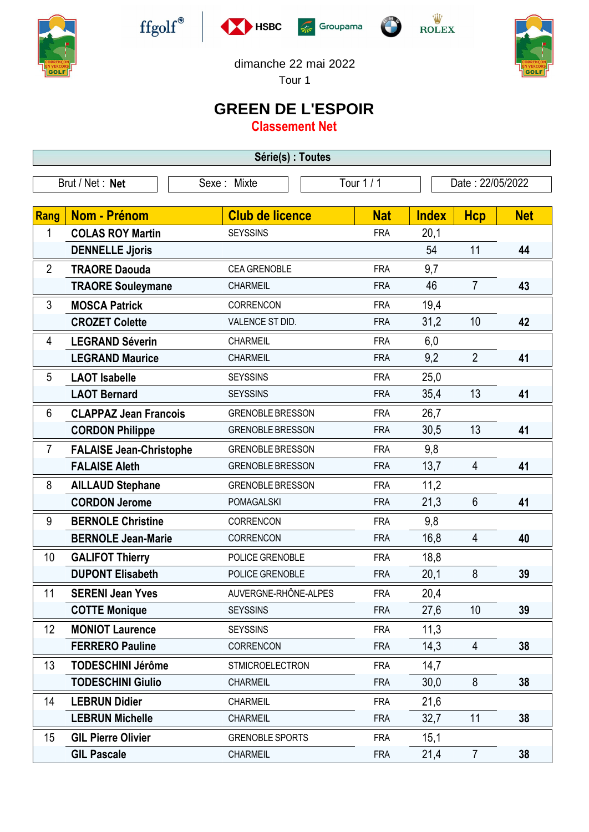











Tour 1

## **GREEN DE L'ESPOIR**

**Classement Net**

| Série(s) : Toutes |                                |                         |            |                  |                |            |  |  |  |  |
|-------------------|--------------------------------|-------------------------|------------|------------------|----------------|------------|--|--|--|--|
| Brut / Net: Net   |                                | Sexe: Mixte             | Tour 1/1   | Date: 22/05/2022 |                |            |  |  |  |  |
|                   |                                |                         |            |                  |                |            |  |  |  |  |
| Rang              | Nom - Prénom                   | <b>Club de licence</b>  | <b>Nat</b> | <b>Index</b>     | <b>Hcp</b>     | <b>Net</b> |  |  |  |  |
| 1                 | <b>COLAS ROY Martin</b>        | <b>SEYSSINS</b>         | <b>FRA</b> | 20,1             |                |            |  |  |  |  |
|                   | <b>DENNELLE Jjoris</b>         |                         |            | 54               | 11             | 44         |  |  |  |  |
| $\overline{2}$    | <b>TRAORE Daouda</b>           | <b>CEA GRENOBLE</b>     | <b>FRA</b> | 9,7              |                |            |  |  |  |  |
|                   | <b>TRAORE Souleymane</b>       | <b>CHARMEIL</b>         | <b>FRA</b> | 46               | $\overline{7}$ | 43         |  |  |  |  |
| 3                 | <b>MOSCA Patrick</b>           | CORRENCON               | <b>FRA</b> | 19,4             |                |            |  |  |  |  |
|                   | <b>CROZET Colette</b>          | VALENCE ST DID.         | <b>FRA</b> | 31,2             | 10             | 42         |  |  |  |  |
| 4                 | <b>LEGRAND Séverin</b>         | CHARMEIL                | <b>FRA</b> | 6,0              |                |            |  |  |  |  |
|                   | <b>LEGRAND Maurice</b>         | <b>CHARMEIL</b>         | <b>FRA</b> | 9,2              | $\overline{2}$ | 41         |  |  |  |  |
| 5                 | <b>LAOT Isabelle</b>           | <b>SEYSSINS</b>         | <b>FRA</b> | 25,0             |                |            |  |  |  |  |
|                   | <b>LAOT Bernard</b>            | <b>SEYSSINS</b>         | <b>FRA</b> | 35,4             | 13             | 41         |  |  |  |  |
| 6                 | <b>CLAPPAZ Jean Francois</b>   | <b>GRENOBLE BRESSON</b> | <b>FRA</b> | 26,7             |                |            |  |  |  |  |
|                   | <b>CORDON Philippe</b>         | <b>GRENOBLE BRESSON</b> | <b>FRA</b> | 30,5             | 13             | 41         |  |  |  |  |
| $\overline{7}$    | <b>FALAISE Jean-Christophe</b> | <b>GRENOBLE BRESSON</b> | <b>FRA</b> | 9,8              |                |            |  |  |  |  |
|                   | <b>FALAISE Aleth</b>           | <b>GRENOBLE BRESSON</b> | <b>FRA</b> | 13,7             | 4              | 41         |  |  |  |  |
| 8                 | <b>AILLAUD Stephane</b>        | <b>GRENOBLE BRESSON</b> | <b>FRA</b> | 11,2             |                |            |  |  |  |  |
|                   | <b>CORDON Jerome</b>           | <b>POMAGALSKI</b>       | <b>FRA</b> | 21,3             | $6\phantom{1}$ | 41         |  |  |  |  |
| 9                 | <b>BERNOLE Christine</b>       | CORRENCON               | <b>FRA</b> | 9,8              |                |            |  |  |  |  |
|                   | <b>BERNOLE Jean-Marie</b>      | CORRENCON               | <b>FRA</b> | 16,8             | 4              | 40         |  |  |  |  |
| 10                | <b>GALIFOT Thierry</b>         | POLICE GRENOBLE         | <b>FRA</b> | 18,8             |                |            |  |  |  |  |
|                   | <b>DUPONT Elisabeth</b>        | POLICE GRENOBLE         | <b>FRA</b> | 20,1             | 8              | 39         |  |  |  |  |
| 11                | <b>SERENI Jean Yves</b>        | AUVERGNE-RHÔNE-ALPES    | <b>FRA</b> | 20,4             |                |            |  |  |  |  |
|                   | <b>COTTE Monique</b>           | <b>SEYSSINS</b>         | <b>FRA</b> | 27,6             | 10             | 39         |  |  |  |  |
| 12                | <b>MONIOT Laurence</b>         | <b>SEYSSINS</b>         | <b>FRA</b> | 11,3             |                |            |  |  |  |  |
|                   | <b>FERRERO Pauline</b>         | <b>CORRENCON</b>        | <b>FRA</b> | 14,3             | $\overline{4}$ | 38         |  |  |  |  |
| 13                | <b>TODESCHINI Jérôme</b>       | <b>STMICROELECTRON</b>  | <b>FRA</b> | 14,7             |                |            |  |  |  |  |
|                   | <b>TODESCHINI Giulio</b>       | <b>CHARMEIL</b>         | <b>FRA</b> | 30,0             | 8              | 38         |  |  |  |  |
| 14                | <b>LEBRUN Didier</b>           | <b>CHARMEIL</b>         | <b>FRA</b> | 21,6             |                |            |  |  |  |  |
|                   | <b>LEBRUN Michelle</b>         | <b>CHARMEIL</b>         | <b>FRA</b> | 32,7             | 11             | 38         |  |  |  |  |
| 15                | <b>GIL Pierre Olivier</b>      | <b>GRENOBLE SPORTS</b>  | <b>FRA</b> | 15,1             |                |            |  |  |  |  |
|                   | <b>GIL Pascale</b>             | <b>CHARMEIL</b>         | <b>FRA</b> | 21,4             | $\overline{7}$ | 38         |  |  |  |  |
|                   |                                |                         |            |                  |                |            |  |  |  |  |